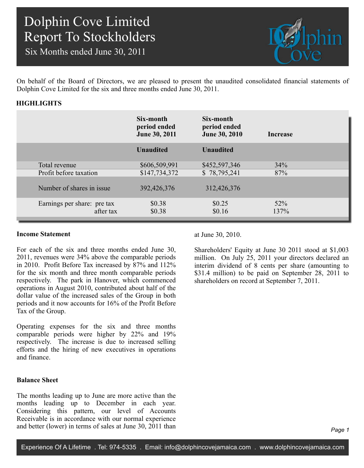Six Months ended June 30, 2011



On behalf of the Board of Directors, we are pleased to present the unaudited consolidated financial statements of Dolphin Cove Limited for the six and three months ended June 30, 2011.

## **HIGHLIGHTS**

|                                          | Six-month<br>period ended<br>June 30, 2011 | Six-month<br>period ended<br><b>June 30, 2010</b> | Increase    |  |
|------------------------------------------|--------------------------------------------|---------------------------------------------------|-------------|--|
|                                          | <b>Unaudited</b>                           | <b>Unaudited</b>                                  |             |  |
| Total revenue                            | \$606,509,991                              | \$452,597,346                                     | 34%         |  |
| Profit before taxation                   | \$147,734,372                              | \$78,795,241                                      | 87%         |  |
| Number of shares in issue                | 392,426,376                                | 312,426,376                                       |             |  |
| Earnings per share: pre tax<br>after tax | \$0.38<br>\$0.38                           | \$0.25<br>\$0.16                                  | 52%<br>137% |  |

### **Income Statement**

For each of the six and three months ended June 30, 2011, revenues were 34% above the comparable periods in 2010. Profit Before Tax increased by 87% and 112% for the six month and three month comparable periods respectively. The park in Hanover, which commenced operations in August 2010, contributed about half of the dollar value of the increased sales of the Group in both periods and it now accounts for 16% of the Profit Before Tax of the Group.

Operating expenses for the six and three months comparable periods were higher by 22% and 19% respectively. The increase is due to increased selling efforts and the hiring of new executives in operations and finance.

## **Balance Sheet**

The months leading up to June are more active than the months leading up to December in each year. Considering this pattern, our level of Accounts Receivable is in accordance with our normal experience and better (lower) in terms of sales at June 30, 2011 than at June 30, 2010.

Shareholders' Equity at June 30 2011 stood at \$1,003 million. On July 25, 2011 your directors declared an interim dividend of 8 cents per share (amounting to \$31.4 million) to be paid on September 28, 2011 to shareholders on record at September 7, 2011.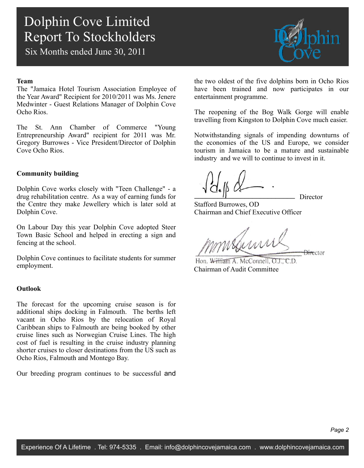Six Months ended June 30, 2011

### **Team**

The "Jamaica Hotel Tourism Association Employee of the Year Award" Recipient for 2010/2011 was Ms. Jenere Medwinter - Guest Relations Manager of Dolphin Cove Ocho Rios.

The St. Ann Chamber of Commerce "Young Entrepreneurship Award" recipient for 2011 was Mr. Gregory Burrowes - Vice President/Director of Dolphin Cove Ocho Rios.

## **Community building**

Dolphin Cove works closely with "Teen Challenge" - a drug rehabilitation centre. As a way of earning funds for the Centre they make Jewellery which is later sold at Dolphin Cove.

On Labour Day this year Dolphin Cove adopted Steer Town Basic School and helped in erecting a sign and fencing at the school.

Dolphin Cove continues to facilitate students for summer employment.

### **Outlook**

The forecast for the upcoming cruise season is for additional ships docking in Falmouth. The berths left vacant in Ocho Rios by the relocation of Royal Caribbean ships to Falmouth are being booked by other cruise lines such as Norwegian Cruise Lines. The high cost of fuel is resulting in the cruise industry planning shorter cruises to closer destinations from the US such as Ocho Rios, Falmouth and Montego Bay.

Our breeding program continues to be successful and



the two oldest of the five dolphins born in Ocho Rios have been trained and now participates in our entertainment programme.

The reopening of the Bog Walk Gorge will enable travelling from Kingston to Dolphin Cove much easier.

Notwithstanding signals of impending downturns of the economies of the US and Europe, we consider tourism in Jamaica to be a mature and sustainable industry and we will to continue to invest in it.

Director

Stafford Burrowes, OD Chairman and Chief Executive Officer

 $m$ **Director** 

Hon. William A. McConnell, O.L. C.D. Chairman of Audit Committee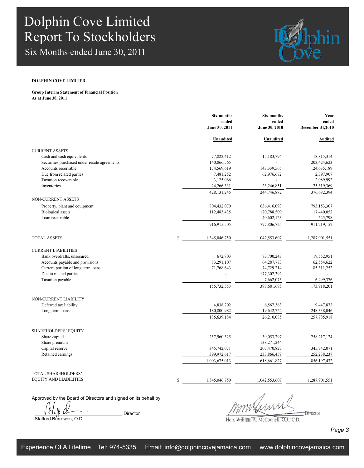Six Months ended June 30, 2011



#### **DOLPHIN COVE LIMITED**

**Group Interim Statement of Financial Position As at June 30, 2011**

|                                              | <b>Six-months</b>      | <b>Six-months</b>      | Year                             |  |
|----------------------------------------------|------------------------|------------------------|----------------------------------|--|
|                                              | ended<br>June 30, 2011 | ended<br>June 30, 2010 | ended<br><b>December 31,2010</b> |  |
|                                              |                        |                        |                                  |  |
|                                              | Unaudited              | Unaudited              | <b>Audited</b>                   |  |
| <b>CURRENT ASSETS</b>                        |                        |                        |                                  |  |
| Cash and cash equivalents                    | 77,822,412             | 15,183,794             | 18,815,314                       |  |
| Securities purchased under resale agreements | 140,866,565            |                        | 203,424,623                      |  |
| Accounts receivable                          | 174,569,619            | 143,339,565            | 124,635,189                      |  |
| Due from related parties                     | 7,481,252              | 62,976,672             | 2,397,907                        |  |
| Taxation recoverable                         | 3,125,066              |                        | 2,089,992                        |  |
| Inventories                                  | 24,266,331             | 23,246,851             | 25,319,369                       |  |
|                                              | 428, 131, 245          | 244,746,882            | 376,682,394                      |  |
| NON-CURRENT ASSETS                           |                        |                        |                                  |  |
| Property, plant and equipment                | 804,432,070            | 636,416,093            | 793,153,307                      |  |
| <b>Biological</b> assets                     | 112,483,435            | 120,788,509            | 117,440,052                      |  |
| Loan receivable                              |                        | 40,602,123             | 625,798                          |  |
|                                              | 916,915,505            | 797,806,725            | 911,219,157                      |  |
| <b>TOTAL ASSETS</b>                          | \$<br>1,345,046,750    | 1,042,553,607          | 1,287,901,551                    |  |
| <b>CURRENT LIABILITIES</b>                   |                        |                        |                                  |  |
| Bank overdrafts, unsecured                   | 672,803                | 73,700,243             | 19,552,951                       |  |
| Accounts payable and provisions              | 83,291,107             | 64,287,773             | 62,554,622                       |  |
| Current portion of long term loans           | 71,768,643             | 74,729,214             | 85, 311, 252                     |  |
| Due to related parties                       | $\overline{a}$         | 177,302,392            |                                  |  |
| Taxation payable                             | $\sim$                 | 7,662,073              | 6,499,376                        |  |
|                                              | 155,732,553            | 397,681,695            | 173,918,201                      |  |
| NON-CURRENT LIABILITY                        |                        |                        |                                  |  |
| Deferred tax liability                       | 4,838,202              | 6,567,363              | 9,447,872                        |  |
| Long term loans                              | 180,800,982            | 19,642,722             | 248,338,046                      |  |
|                                              | 185,639,184            | 26,210,085             | 257,785,918                      |  |
| SHAREHOLDERS' EQUITY                         |                        |                        |                                  |  |
| Share capital                                | 257,960,325            | 39,053,297             | 258, 217, 124                    |  |
| Share premium                                |                        | 138,271,244            |                                  |  |
| Capital reserve                              | 345,742,071            | 207,470,827            | 345,742,071                      |  |
| Retained earnings                            | 399,972,617            | 233,866,459            | 252,238,237                      |  |
|                                              | 1,003,675,013          | 618,661,827            | 856, 197, 432                    |  |
| TOTAL SHAREHOLDERS'                          |                        |                        |                                  |  |
| <b>EQUITY AND LIABILITIES</b>                | \$<br>1,345,046,750    | 1,042,553,607          | 1,287,901,551                    |  |
|                                              |                        |                        |                                  |  |

Approved by the Board of Directors and signed on its behalf by:

 $\frac{1}{d}$   $\frac{1}{d}$   $\frac{1}{d}$   $\frac{1}{d}$   $\frac{1}{d}$   $\frac{1}{d}$   $\frac{1}{d}$   $\frac{1}{d}$   $\frac{1}{d}$   $\frac{1}{d}$   $\frac{1}{d}$   $\frac{1}{d}$   $\frac{1}{d}$   $\frac{1}{d}$   $\frac{1}{d}$   $\frac{1}{d}$   $\frac{1}{d}$   $\frac{1}{d}$   $\frac{1}{d}$   $\frac{1}{d}$   $\frac{1}{d}$   $\frac{1}{d}$  Stafford Burrowes, O.D.

mmstermul

Hon. William A. McConnell, O.J., C.D.

*Page 3*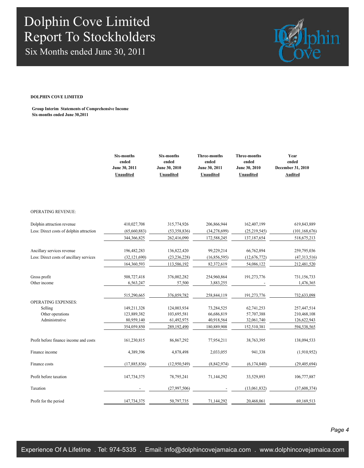Six Months ended June 30, 2011



#### **DOLPHIN COVE LIMITED**

**Group Interim Statements of Comprehensive Income Six-months ended June 30,2011**

|                                          | Six-months<br>ended<br>June 30, 2011<br>Unaudited | Six-months<br>ended<br>June 30, 2010<br>Unaudited | <b>Three-months</b><br>ended<br>June 30, 2011<br>Unaudited | <b>Three-months</b><br>ended<br>June 30, 2010<br>Unaudited | Year<br>ended<br>December 31, 2010<br><b>Audited</b> |
|------------------------------------------|---------------------------------------------------|---------------------------------------------------|------------------------------------------------------------|------------------------------------------------------------|------------------------------------------------------|
|                                          |                                                   |                                                   |                                                            |                                                            |                                                      |
| <b>OPERATING REVENUE:</b>                |                                                   |                                                   |                                                            |                                                            |                                                      |
| Dolphin attraction revenue               | 410,027,708                                       | 315,774,926                                       | 206,866,944                                                | 162,407,199                                                | 619,843,889                                          |
| Less: Direct costs of dolphin attraction | (65,660,883)                                      | (53,358,836)                                      | (34, 278, 699)                                             | (25, 219, 545)                                             | (101, 168, 676)                                      |
|                                          | 344,366,825                                       | 262,416,090                                       | 172,588,245                                                | 137, 187, 654                                              | 518,675,213                                          |
| Ancillary services revenue               | 196,482,283                                       | 136,822,420                                       | 99,229,214                                                 | 66,762,894                                                 | 259,795,036                                          |
| Less: Direct costs of ancillary services | (32, 121, 690)                                    | (23, 236, 228)                                    | (16, 856, 595)                                             | (12,676,772)                                               | (47,313,516)                                         |
|                                          | 164,360,593                                       | 113,586,192                                       | 82,372,619                                                 | 54,086,122                                                 | 212,481,520                                          |
| Gross profit                             | 508,727,418                                       | 376,002,282                                       | 254,960,864                                                | 191,273,776                                                | 731,156,733                                          |
| Other income                             | 6,563,247                                         | 57,500                                            | 3,883,255                                                  |                                                            | 1,476,365                                            |
|                                          | 515,290,665                                       | 376,059,782                                       | 258,844,119                                                | 191,273,776                                                | 732,633,098                                          |
| <b>OPERATING EXPENSES:</b>               |                                                   |                                                   |                                                            |                                                            |                                                      |
| Selling                                  | 149,211,328                                       | 124,003,934                                       | 73,284,525                                                 | 62,741,253                                                 | 257,447,514                                          |
| Other operations                         | 123,889,382                                       | 103,695,581                                       | 66,686,819                                                 | 57,707,388                                                 | 210,468,108                                          |
| Administrative                           | 80,959,140                                        | 61,492,975                                        | 40,918,564                                                 | 32,061,740                                                 | 126,622,943                                          |
|                                          | 354,059,850                                       | 289,192,490                                       | 180,889,908                                                | 152,510,381                                                | 594,538,565                                          |
| Profit before finance income and costs   | 161,230,815                                       | 86,867,292                                        | 77,954,211                                                 | 38,763,395                                                 | 138,094,533                                          |
| Finance income                           | 4,389,396                                         | 4,878,498                                         | 2,033,055                                                  | 941,338                                                    | (1,910,952)                                          |
| Finance costs                            | (17, 885, 836)                                    | (12,950,549)                                      | (8, 842, 974)                                              | (6,174,840)                                                | (29, 405, 694)                                       |
| Profit before taxation                   | 147,734,375                                       | 78,795,241                                        | 71,144,292                                                 | 33,529,893                                                 | 106,777,887                                          |
| Taxation                                 |                                                   | (27,997,506)                                      |                                                            | (13,061,832)                                               | (37,608,374)                                         |
| Profit for the period                    | 147,734,375                                       | 50,797,735                                        | 71,144,292                                                 | 20,468,061                                                 | 69,169,513                                           |

*Page 4*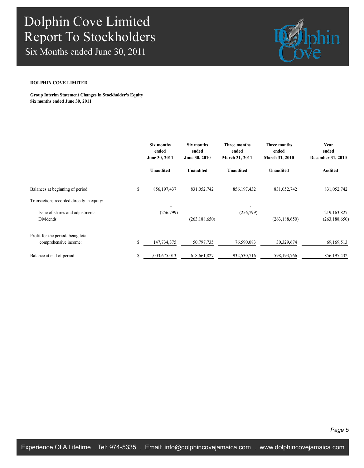Six Months ended June 30, 2011



### **DOLPHIN COVE LIMITED**

**Group Interim Statement Changes in Stockholder's Equity Six months ended June 30, 2011**

|                                                             | Six months<br>ended<br>June 30, 2011 | Six months<br>ended<br>June 30, 2010 | <b>Three months</b><br>ended<br><b>March 31, 2011</b> | Three months<br>ended<br><b>March 31, 2010</b> | Year<br>ended<br>December 31, 2010 |
|-------------------------------------------------------------|--------------------------------------|--------------------------------------|-------------------------------------------------------|------------------------------------------------|------------------------------------|
|                                                             | <b>Unaudited</b>                     | Unaudited                            | <b>Unaudited</b>                                      | <b>Unaudited</b>                               | Audited                            |
| Balances at beginning of period                             | \$<br>856,197,437                    | 831,052,742                          | 856,197,432                                           | 831,052,742                                    | 831,052,742                        |
| Transactions recorded directly in equity:                   |                                      |                                      |                                                       |                                                |                                    |
| Issue of shares and adjustments<br>Dividends                | (256,799)                            | (263, 188, 650)                      | (256,799)                                             | (263, 188, 650)                                | 219,163,827<br>(263, 188, 650)     |
| Profit for the period, being total<br>comprehensive income: | \$<br>147,734,375                    | 50,797,735                           | 76,590,083                                            | 30,329,674                                     | 69,169,513                         |
| Balance at end of period                                    | \$<br>,003,675,013                   | 618,661,827                          | 932,530,716                                           | 598,193,766                                    | 856, 197, 432                      |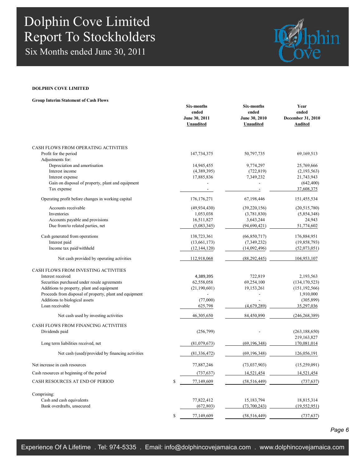Six Months ended June 30, 2011



### **DOLPHIN COVE LIMITED**

**Group Interim Statement of Cash Flows**

|                                                         | Six-months<br>ended<br>June 30, 2011<br>Unaudited | Six-months<br>ended<br>June 30, 2010<br>Unaudited | Year<br>ended<br>December 31, 2010<br><b>Audited</b> |
|---------------------------------------------------------|---------------------------------------------------|---------------------------------------------------|------------------------------------------------------|
| CASH FLOWS FROM OPERATING ACTIVITIES                    |                                                   |                                                   |                                                      |
| Profit for the period                                   | 147,734,375                                       | 50,797,735                                        | 69, 169, 513                                         |
| Adjustments for:                                        |                                                   |                                                   |                                                      |
| Depreciation and amortisation<br>Interest income        | 14,945,455                                        | 9,774,297                                         | 25,769,666                                           |
| Interest expense                                        | (4,389,395)<br>17,885,836                         | (722, 819)<br>7,349,232                           | (2,193,563)<br>21,743,943                            |
| Gain on disposal of property, plant and equipment       |                                                   |                                                   | (642, 400)                                           |
| Tax expense                                             |                                                   |                                                   | 37,608,375                                           |
| Operating profit before changes in working capital      | 176, 176, 271                                     | 67,198,446                                        | 151,455,534                                          |
| Accounts receivable                                     | (49, 934, 430)                                    | (39,220,156)                                      | (20,515,780)                                         |
| Inventories                                             | 1,053,038                                         | (3,781,830)                                       | (5,854,348)                                          |
| Accounts payable and provisions                         | 16,511,827                                        | 3,643,244                                         | 24,943                                               |
| Due from/to related parties, net                        | (5,083,345)                                       | (94, 690, 421)                                    | 51,774,602                                           |
| Cash generated from operations                          | 138,723,361                                       | (66,850,717)                                      | 176,884,951                                          |
| Interest paid                                           | (13,661,173)                                      | (7,349,232)                                       | (19, 858, 793)                                       |
| Income tax paid/withheld                                | (12, 144, 120)                                    | (14,092,496)                                      | (52,073,051)                                         |
| Net cash provided by operating activities               | 112,918,068                                       | (88, 292, 445)                                    | 104,953,107                                          |
| CASH FLOWS FROM INVESTING ACTIVITIES                    |                                                   |                                                   |                                                      |
| Interest received                                       | 4,389,395                                         | 722,819                                           | 2,193,563                                            |
| Securities purchased under resale agreements            | 62,558,058                                        | 69,254,100                                        | (134, 170, 523)                                      |
| Additions to property, plant and equipment              | (21, 190, 601)                                    | 19, 153, 261                                      | (151, 192, 566)                                      |
| Proceeds from disposal of property, plant and equipment |                                                   | $\overline{\phantom{a}}$                          | 1,910,000                                            |
| Additions to biological assets                          | (77,000)                                          |                                                   | (305, 899)                                           |
| Loan receivable                                         | 625,798                                           | (4,679,289)                                       | 35,297,036                                           |
| Net cash used by investing activities                   | 46,305,650                                        | 84,450,890                                        | (246, 268, 389)                                      |
| CASH FLOWS FROM FINANCING ACTIVITIES                    |                                                   |                                                   |                                                      |
| Dividends paid                                          | (256,799)                                         |                                                   | (263, 188, 650)                                      |
|                                                         |                                                   |                                                   | 219,163,827                                          |
| Long term liabilities received, net                     | (81,079,673)                                      | (69, 196, 348)                                    | 170,081,014                                          |
| Net cash (used)/provided by financing activities        | (81, 336, 472)                                    | (69.196.348)                                      | 126,056,191                                          |
| Net increase in cash resources                          | 77,887,246                                        | (73,037,903)                                      | (15, 259, 091)                                       |
| Cash resources at beginning of the period               | (737, 637)                                        | 14,521,454                                        | 14,521,454                                           |
| CASH RESOURCES AT END OF PERIOD                         | \$<br>77,149,609                                  | (58, 516, 449)                                    | (737, 637)                                           |
| Comprising:                                             |                                                   |                                                   |                                                      |
| Cash and cash equivalents                               | 77,822,412                                        | 15, 183, 794                                      | 18,815,314                                           |
| Bank overdrafts, unsecured                              | (672, 803)                                        | (73,700,243)                                      | (19, 552, 951)                                       |
|                                                         | \$<br>77,149,609                                  | (58, 516, 449)                                    | (737, 637)                                           |
|                                                         |                                                   |                                                   |                                                      |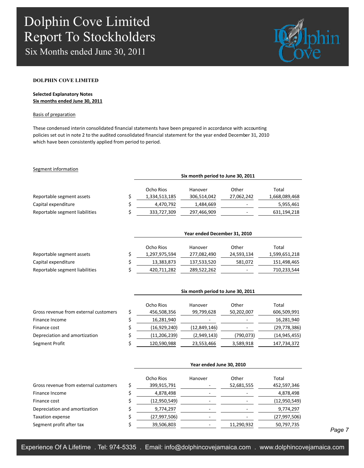Six Months ended June 30, 2011



### **DOLPHIN COVE LIMITED**

### **Selected Explanatory Notes Six months ended June 30, 2011**

#### Basis of preparation

These condensed interin consolidated financial statements have been prepared in accordance with accounting policies set out in note 2 to the audited consolidated financial statement for the year ended December 31, 2010 which have been consistently applied from period to period.

### Segment information

|                                | Six month period to June 30, 2011 |             |            |               |  |  |
|--------------------------------|-----------------------------------|-------------|------------|---------------|--|--|
|                                | Ocho Rios                         | Hanover     | Other      | Total         |  |  |
| Reportable segment assets      | 1,334,513,185                     | 306,514,042 | 27,062,242 | 1,668,089,468 |  |  |
| Capital expenditure            | 4,470,792                         | 1,484,669   |            | 5,955,461     |  |  |
| Reportable segment liabilities | 333,727,309                       | 297,466,909 |            | 631,194,218   |  |  |

|                                | Year ended December 31, 2010 |             |            |               |  |
|--------------------------------|------------------------------|-------------|------------|---------------|--|
|                                | Ocho Rios                    | Hanover     | Other      | Total         |  |
| Reportable segment assets      | 1,297,975,594                | 277,082,490 | 24,593,134 | 1,599,651,218 |  |
| Capital expenditure            | 13,383,873                   | 137,533,520 | 581.072    | 151,498,465   |  |
| Reportable segment liabilities | 420,711,282                  | 289,522,262 | -          | 710,233,544   |  |

|                                       | Six month period to June 30, 2011 |                          |            |                |  |  |
|---------------------------------------|-----------------------------------|--------------------------|------------|----------------|--|--|
|                                       | Ocho Rios                         | Hanover                  | Other      | Total          |  |  |
| Gross revenue from external customers | 456,508,356                       | 99,799,628               | 50,202,007 | 606,509,991    |  |  |
| Finance Income                        | 16,281,940                        | $\overline{\phantom{0}}$ |            | 16,281,940     |  |  |
| Finance cost                          | (16,929,240)                      | (12, 849, 146)           |            | (29, 778, 386) |  |  |
| Depreciation and amortization         | (11,206,239)                      | (2,949,143)              | (790,073)  | (14, 945, 455) |  |  |
| Segment Profit                        | 120,590,988                       | 23,553,466               | 3,589,918  | 147,734,372    |  |  |

|                                       | Year ended June 30, 2010 |         |            |                |  |
|---------------------------------------|--------------------------|---------|------------|----------------|--|
|                                       | Ocho Rios                | Hanover | Other      | Total          |  |
| Gross revenue from external customers | 399,915,791              |         | 52,681,555 | 452,597,346    |  |
| Finance Income                        | 4,878,498                |         |            | 4,878,498      |  |
| Finance cost                          | (12,950,549)             |         |            | (12, 950, 549) |  |
| Depreciation and amortization         | 9,774,297                |         |            | 9,774,297      |  |
| <b>Taxation expense</b>               | (27, 997, 506)           |         |            | (27, 997, 506) |  |
| Segment profit after tax              | 39,506,803               |         | 11,290,932 | 50,797,735     |  |